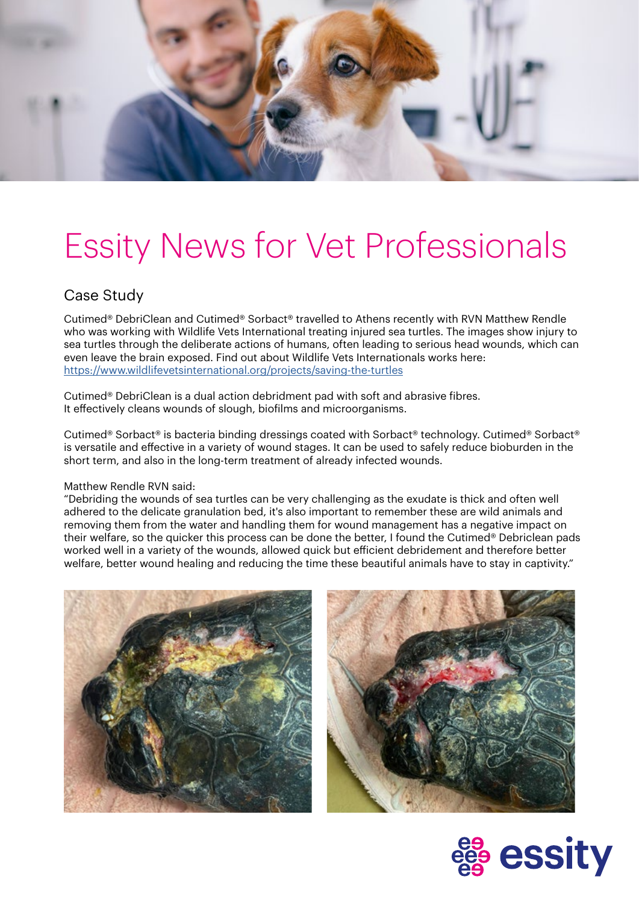

## Essity News for Vet Professionals

#### Case Study

Cutimed® DebriClean and Cutimed® Sorbact® travelled to Athens recently with RVN Matthew Rendle who was working with Wildlife Vets International treating injured sea turtles. The images show injury to sea turtles through the deliberate actions of humans, often leading to serious head wounds, which can even leave the brain exposed. Find out about Wildlife Vets Internationals works here: <https://www.wildlifevetsinternational.org/projects/saving-the-turtles>

Cutimed® DebriClean is a dual action debridment pad with soft and abrasive fibres. It effectively cleans wounds of slough, biofilms and microorganisms.

Cutimed® Sorbact® is bacteria binding dressings coated with Sorbact® technology. Cutimed® Sorbact® is versatile and effective in a variety of wound stages. It can be used to safely reduce bioburden in the short term, and also in the long-term treatment of already infected wounds.

#### Matthew Rendle RVN said:

"Debriding the wounds of sea turtles can be very challenging as the exudate is thick and often well adhered to the delicate granulation bed, it's also important to remember these are wild animals and removing them from the water and handling them for wound management has a negative impact on their welfare, so the quicker this process can be done the better, I found the Cutimed® Debriclean pads worked well in a variety of the wounds, allowed quick but efficient debridement and therefore better welfare, better wound healing and reducing the time these beautiful animals have to stay in captivity."





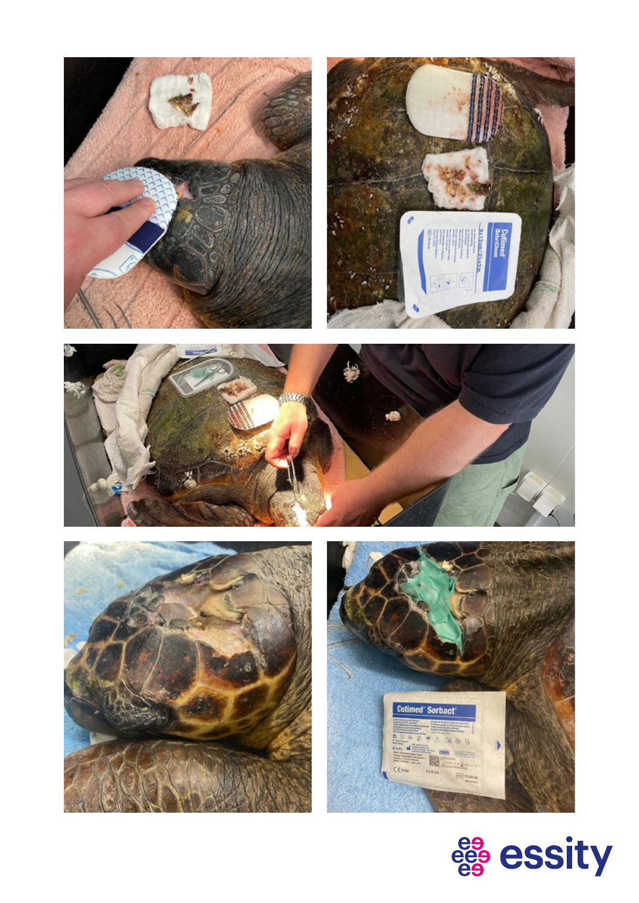